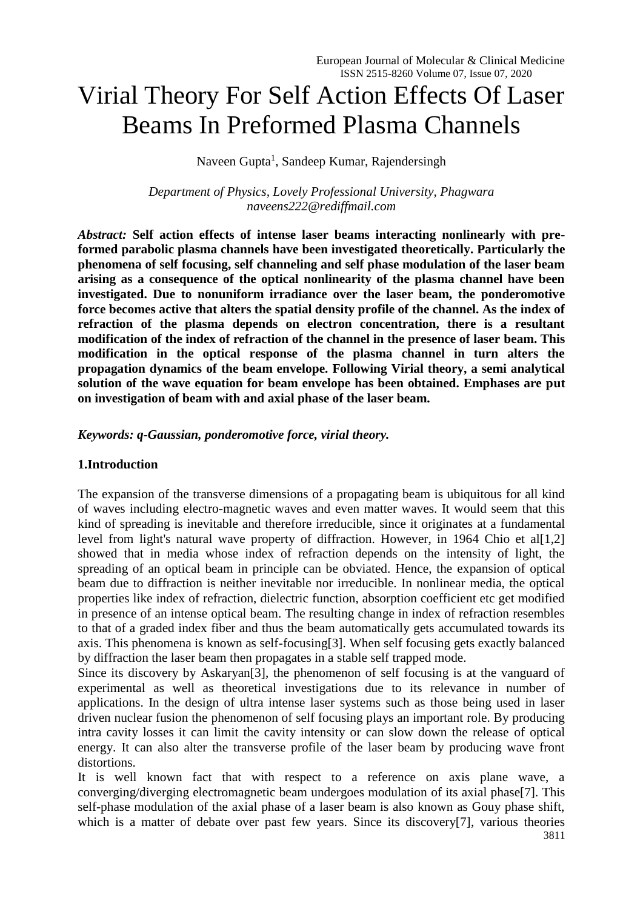# Virial Theory For Self Action Effects Of Laser Beams In Preformed Plasma Channels

Naveen Gupta<sup>1</sup>, Sandeep Kumar, Rajendersingh

*Department of Physics, Lovely Professional University, Phagwara [naveens222@rediffmail.com](mailto:naveens222@rediffmail.com)*

*Abstract:* **Self action effects of intense laser beams interacting nonlinearly with preformed parabolic plasma channels have been investigated theoretically. Particularly the phenomena of self focusing, self channeling and self phase modulation of the laser beam arising as a consequence of the optical nonlinearity of the plasma channel have been investigated. Due to nonuniform irradiance over the laser beam, the ponderomotive force becomes active that alters the spatial density profile of the channel. As the index of refraction of the plasma depends on electron concentration, there is a resultant modification of the index of refraction of the channel in the presence of laser beam. This modification in the optical response of the plasma channel in turn alters the propagation dynamics of the beam envelope. Following Virial theory, a semi analytical solution of the wave equation for beam envelope has been obtained. Emphases are put on investigation of beam with and axial phase of the laser beam.**

## *Keywords: q-Gaussian, ponderomotive force, virial theory.*

## **1.Introduction**

The expansion of the transverse dimensions of a propagating beam is ubiquitous for all kind of waves including electro-magnetic waves and even matter waves. It would seem that this kind of spreading is inevitable and therefore irreducible, since it originates at a fundamental level from light's natural wave property of diffraction. However, in 1964 Chio et al[1,2] showed that in media whose index of refraction depends on the intensity of light, the spreading of an optical beam in principle can be obviated. Hence, the expansion of optical beam due to diffraction is neither inevitable nor irreducible. In nonlinear media, the optical properties like index of refraction, dielectric function, absorption coefficient etc get modified in presence of an intense optical beam. The resulting change in index of refraction resembles to that of a graded index fiber and thus the beam automatically gets accumulated towards its axis. This phenomena is known as self-focusing[3]. When self focusing gets exactly balanced by diffraction the laser beam then propagates in a stable self trapped mode.

Since its discovery by Askaryan[3], the phenomenon of self focusing is at the vanguard of experimental as well as theoretical investigations due to its relevance in number of applications. In the design of ultra intense laser systems such as those being used in laser driven nuclear fusion the phenomenon of self focusing plays an important role. By producing intra cavity losses it can limit the cavity intensity or can slow down the release of optical energy. It can also alter the transverse profile of the laser beam by producing wave front distortions.

It is well known fact that with respect to a reference on axis plane wave, a converging/diverging electromagnetic beam undergoes modulation of its axial phase[7]. This self-phase modulation of the axial phase of a laser beam is also known as Gouy phase shift, which is a matter of debate over past few years. Since its discovery[7], various theories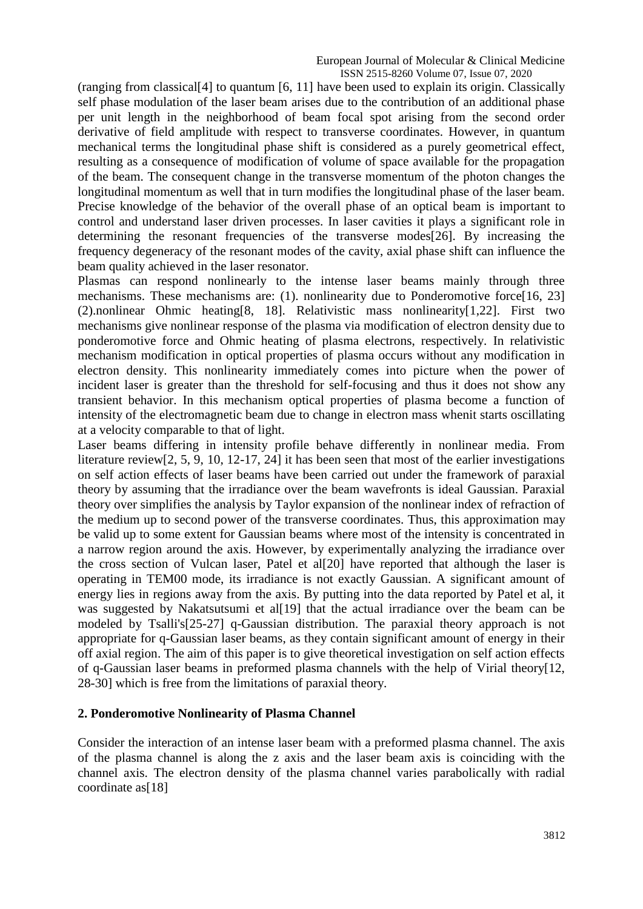(ranging from classical[4] to quantum [6, 11] have been used to explain its origin. Classically self phase modulation of the laser beam arises due to the contribution of an additional phase per unit length in the neighborhood of beam focal spot arising from the second order derivative of field amplitude with respect to transverse coordinates. However, in quantum mechanical terms the longitudinal phase shift is considered as a purely geometrical effect, resulting as a consequence of modification of volume of space available for the propagation of the beam. The consequent change in the transverse momentum of the photon changes the longitudinal momentum as well that in turn modifies the longitudinal phase of the laser beam. Precise knowledge of the behavior of the overall phase of an optical beam is important to control and understand laser driven processes. In laser cavities it plays a significant role in determining the resonant frequencies of the transverse modes[26]. By increasing the frequency degeneracy of the resonant modes of the cavity, axial phase shift can influence the beam quality achieved in the laser resonator.

Plasmas can respond nonlinearly to the intense laser beams mainly through three mechanisms. These mechanisms are: (1). nonlinearity due to Ponderomotive force[16, 23] (2).nonlinear Ohmic heating[8, 18]. Relativistic mass nonlinearity[1,22]. First two mechanisms give nonlinear response of the plasma via modification of electron density due to ponderomotive force and Ohmic heating of plasma electrons, respectively. In relativistic mechanism modification in optical properties of plasma occurs without any modification in electron density. This nonlinearity immediately comes into picture when the power of incident laser is greater than the threshold for self-focusing and thus it does not show any transient behavior. In this mechanism optical properties of plasma become a function of intensity of the electromagnetic beam due to change in electron mass whenit starts oscillating at a velocity comparable to that of light.

Laser beams differing in intensity profile behave differently in nonlinear media. From literature review[2, 5, 9, 10, 12-17, 24] it has been seen that most of the earlier investigations on self action effects of laser beams have been carried out under the framework of paraxial theory by assuming that the irradiance over the beam wavefronts is ideal Gaussian. Paraxial theory over simplifies the analysis by Taylor expansion of the nonlinear index of refraction of the medium up to second power of the transverse coordinates. Thus, this approximation may be valid up to some extent for Gaussian beams where most of the intensity is concentrated in a narrow region around the axis. However, by experimentally analyzing the irradiance over the cross section of Vulcan laser, Patel et al[20] have reported that although the laser is operating in TEM00 mode, its irradiance is not exactly Gaussian. A significant amount of energy lies in regions away from the axis. By putting into the data reported by Patel et al, it was suggested by Nakatsutsumi et all 191 that the actual irradiance over the beam can be modeled by Tsalli's[25-27] q-Gaussian distribution. The paraxial theory approach is not appropriate for q-Gaussian laser beams, as they contain significant amount of energy in their off axial region. The aim of this paper is to give theoretical investigation on self action effects of q-Gaussian laser beams in preformed plasma channels with the help of Virial theory[12, 28-30] which is free from the limitations of paraxial theory.

## **2. Ponderomotive Nonlinearity of Plasma Channel**

Consider the interaction of an intense laser beam with a preformed plasma channel. The axis of the plasma channel is along the z axis and the laser beam axis is coinciding with the channel axis. The electron density of the plasma channel varies parabolically with radial coordinate as<sup>[18]</sup>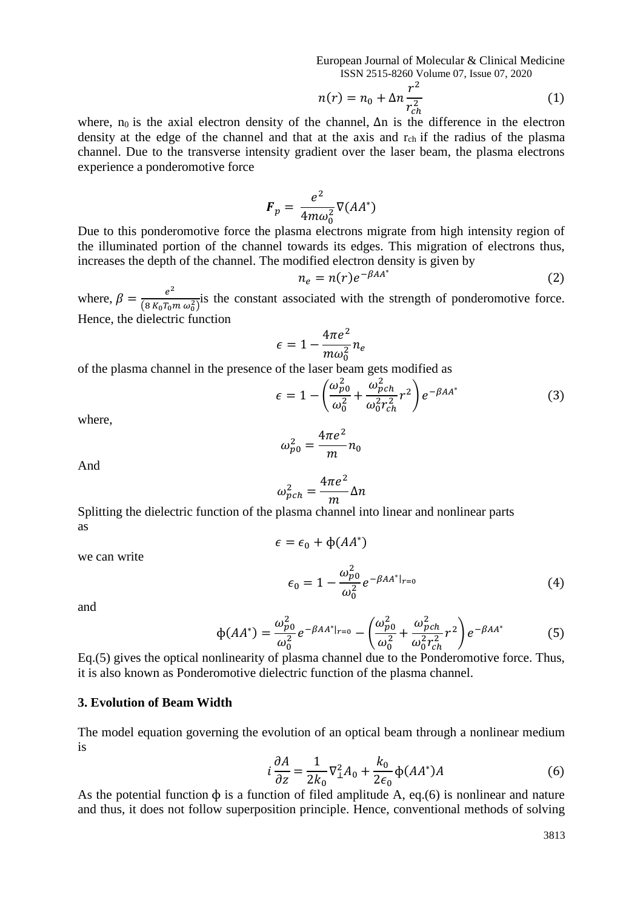European Journal of Molecular & Clinical Medicine ISSN 2515-8260 Volume 07, Issue 07, 2020

$$
n(r) = n_0 + \Delta n \frac{r^2}{r_{ch}^2} \tag{1}
$$

where, n<sub>0</sub> is the axial electron density of the channel,  $\Delta n$  is the difference in the electron density at the edge of the channel and that at the axis and  $r_{ch}$  if the radius of the plasma channel. Due to the transverse intensity gradient over the laser beam, the plasma electrons experience a ponderomotive force

$$
\boldsymbol{F}_p = \frac{e^2}{4m\omega_0^2} \nabla (A A^*)
$$

Due to this ponderomotive force the plasma electrons migrate from high intensity region of the illuminated portion of the channel towards its edges. This migration of electrons thus, increases the depth of the channel. The modified electron density is given by

$$
n_e = n(r)e^{-\beta A A^*}
$$
 (2)

where,  $\beta = \frac{e^2}{\sqrt{2 \pi} \epsilon^2}$  $\frac{e}{(8 K_0 T_0 m \omega_0^2)}$  is the constant associated with the strength of ponderomotive force. Hence, the dielectric function

$$
\epsilon = 1 - \frac{4\pi e^2}{m\omega_0^2} n_e
$$

of the plasma channel in the presence of the laser beam gets modified as

$$
\epsilon = 1 - \left(\frac{\omega_{p0}^2}{\omega_0^2} + \frac{\omega_{pch}^2}{\omega_0^2 r_{ch}^2} r^2\right) e^{-\beta A A^*}
$$
(3)

where,

$$
\omega_{p0}^2 = \frac{4\pi e^2}{m} n_0
$$

And

$$
\omega_{pch}^2 = \frac{4\pi e^2}{m} \Delta n
$$

Splitting the dielectric function of the plasma channel into linear and nonlinear parts as  $\epsilon = \epsilon_0 + \Phi(AA^*)$ 

we can write

$$
\epsilon_0 = 1 - \frac{\omega_{p0}^2}{\omega_0^2} e^{-\beta A A^*|_{r=0}} \tag{4}
$$

and

$$
\Phi(AA^*) = \frac{\omega_{p0}^2}{\omega_0^2} e^{-\beta A A^*|_{r=0}} - \left(\frac{\omega_{p0}^2}{\omega_0^2} + \frac{\omega_{pch}^2}{\omega_0^2 r_{ch}^2} r^2\right) e^{-\beta A A^*}
$$
(5)

Eq.(5) gives the optical nonlinearity of plasma channel due to the Ponderomotive force. Thus, it is also known as Ponderomotive dielectric function of the plasma channel.

#### **3. Evolution of Beam Width**

The model equation governing the evolution of an optical beam through a nonlinear medium is

$$
i\frac{\partial A}{\partial z} = \frac{1}{2k_0} \nabla_{\perp}^2 A_0 + \frac{k_0}{2\epsilon_0} \Phi(AA^*)A
$$
 (6)

As the potential function  $\phi$  is a function of filed amplitude A, eq.(6) is nonlinear and nature and thus, it does not follow superposition principle. Hence, conventional methods of solving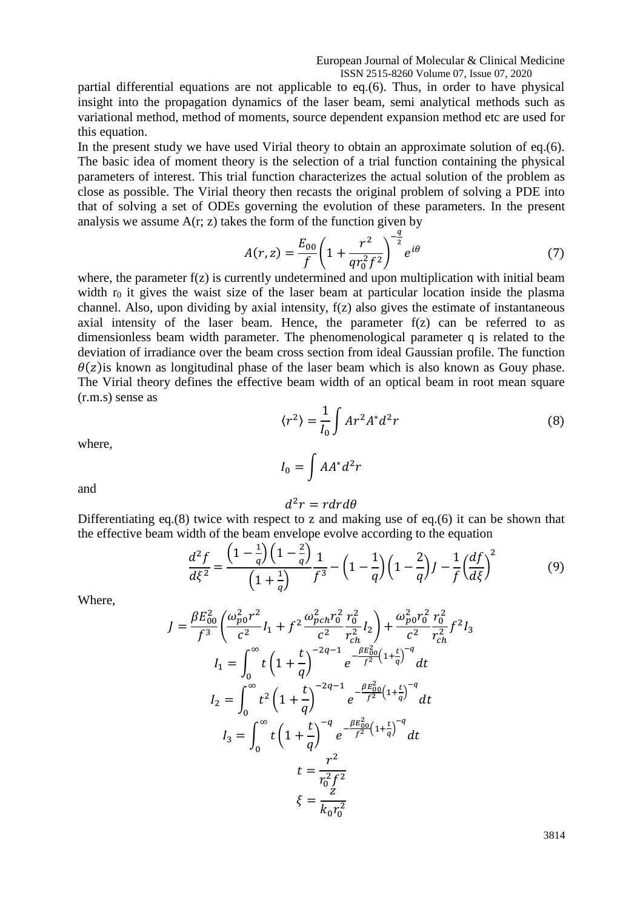partial differential equations are not applicable to eq.(6). Thus, in order to have physical insight into the propagation dynamics of the laser beam, semi analytical methods such as variational method, method of moments, source dependent expansion method etc are used for this equation.

In the present study we have used Virial theory to obtain an approximate solution of eq.(6). The basic idea of moment theory is the selection of a trial function containing the physical parameters of interest. This trial function characterizes the actual solution of the problem as close as possible. The Virial theory then recasts the original problem of solving a PDE into that of solving a set of ODEs governing the evolution of these parameters. In the present analysis we assume  $A(r, z)$  takes the form of the function given by

$$
A(r,z) = \frac{E_{00}}{f} \left( 1 + \frac{r^2}{q r_0^2 f^2} \right)^{-\frac{q}{2}} e^{i\theta} \tag{7}
$$

where, the parameter  $f(z)$  is currently undetermined and upon multiplication with initial beam width  $r_0$  it gives the waist size of the laser beam at particular location inside the plasma channel. Also, upon dividing by axial intensity, f(z) also gives the estimate of instantaneous axial intensity of the laser beam. Hence, the parameter  $f(z)$  can be referred to as dimensionless beam width parameter. The phenomenological parameter q is related to the deviation of irradiance over the beam cross section from ideal Gaussian profile. The function  $\theta(z)$  is known as longitudinal phase of the laser beam which is also known as Gouy phase. The Virial theory defines the effective beam width of an optical beam in root mean square (r.m.s) sense as

$$
\langle r^2 \rangle = \frac{1}{I_0} \int A r^2 A^* d^2 r \tag{8}
$$

where,

$$
I_0 = \int AA^*d^2r
$$

and

$$
d^2r = r dr d\theta
$$

Differentiating eq.(8) twice with respect to z and making use of eq.(6) it can be shown that the effective beam width of the beam envelope evolve according to the equation  $1\lambda$   $\ell$ 

$$
\frac{d^2f}{d\xi^2} = \frac{\left(1 - \frac{1}{q}\right)\left(1 - \frac{2}{q}\right)}{\left(1 + \frac{1}{q}\right)} \frac{1}{f^3} - \left(1 - \frac{1}{q}\right)\left(1 - \frac{2}{q}\right)J - \frac{1}{f}\left(\frac{df}{d\xi}\right)^2\tag{9}
$$

Where,

$$
J = \frac{\beta E_{00}^2}{f^3} \left( \frac{\omega_{p0}^2 r^2}{c^2} I_1 + f^2 \frac{\omega_{pch}^2 r_0^2}{c^2} \frac{r_0^2}{r_{ch}^2} I_2 \right) + \frac{\omega_{p0}^2 r_0^2}{c^2} \frac{r_0^2}{r_{ch}^2} f^2 I_3
$$
  
\n
$$
I_1 = \int_0^\infty t \left( 1 + \frac{t}{q} \right)^{-2q-1} e^{-\frac{\beta E_{00}^2}{f^2} \left( 1 + \frac{t}{q} \right)^{-q}} dt
$$
  
\n
$$
I_2 = \int_0^\infty t^2 \left( 1 + \frac{t}{q} \right)^{-2q-1} e^{-\frac{\beta E_{00}^2}{f^2} \left( 1 + \frac{t}{q} \right)^{-q}} dt
$$
  
\n
$$
I_3 = \int_0^\infty t \left( 1 + \frac{t}{q} \right)^{-q} e^{-\frac{\beta E_{00}^2}{f^2} \left( 1 + \frac{t}{q} \right)^{-q}} dt
$$
  
\n
$$
t = \frac{r^2}{r_0^2 f^2}
$$
  
\n
$$
\xi = \frac{z}{k_0 r_0^2}
$$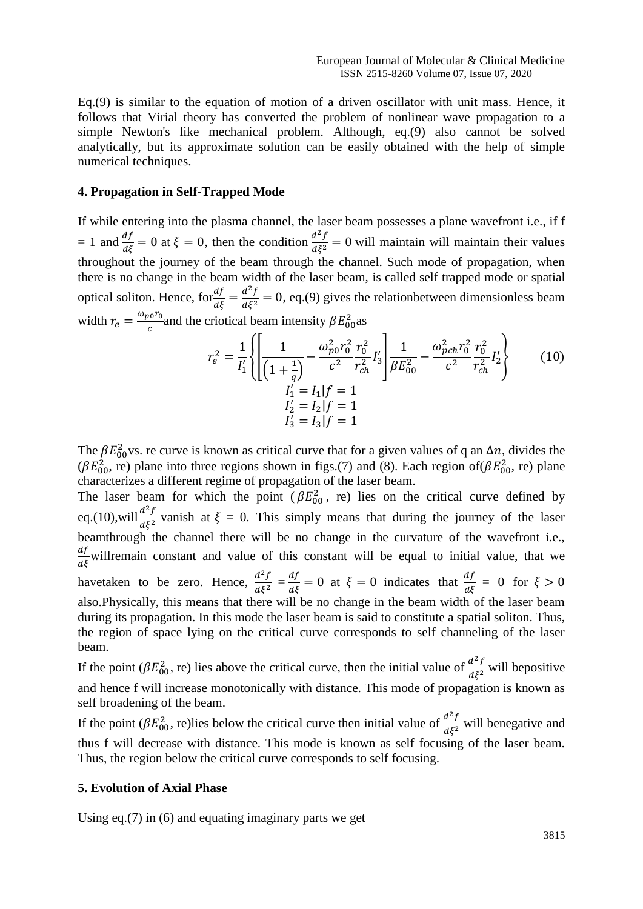Eq.(9) is similar to the equation of motion of a driven oscillator with unit mass. Hence, it follows that Virial theory has converted the problem of nonlinear wave propagation to a simple Newton's like mechanical problem. Although, eq.(9) also cannot be solved analytically, but its approximate solution can be easily obtained with the help of simple numerical techniques.

#### **4. Propagation in Self-Trapped Mode**

If while entering into the plasma channel, the laser beam possesses a plane wavefront i.e., if f = 1 and  $\frac{df}{d\xi}$  = 0 at  $\xi$  = 0, then the condition  $\frac{d^2f}{d\xi^2}$  $rac{a}{d\xi^2} = 0$  will maintain will maintain their values throughout the journey of the beam through the channel. Such mode of propagation, when there is no change in the beam width of the laser beam, is called self trapped mode or spatial optical soliton. Hence,  $\text{for} \frac{df}{d\xi} = \frac{d^2f}{d\xi^2}$  $\frac{d^2 y}{d\xi^2} = 0$ , eq.(9) gives the relation between dimensionless beam width  $r_e = \frac{\omega_{p0} r_0}{c}$  $\frac{a_0 r_0}{c}$  and the criotical beam intensity  $\beta E_{00}^2$  as

$$
r_e^2 = \frac{1}{I'_1} \left\{ \left[ \frac{1}{\left(1 + \frac{1}{q}\right)} - \frac{\omega_{p0}^2 r_0^2}{c^2} \frac{r_0^2}{r_{ch}^2} I'_3 \right] \frac{1}{\beta E_{00}^2} - \frac{\omega_{pch}^2 r_0^2}{c^2} \frac{r_0^2}{r_{ch}^2} I'_2 \right\}
$$
(10)  

$$
I'_1 = I_1 | f = 1
$$
  

$$
I'_2 = I_2 | f = 1
$$
  

$$
I'_3 = I_3 | f = 1
$$

The  $\beta E_{00}^2$  vs. re curve is known as critical curve that for a given values of q an  $\Delta n$ , divides the ( $\beta E_{00}^2$ , re) plane into three regions shown in figs.(7) and (8). Each region of( $\beta E_{00}^2$ , re) plane characterizes a different regime of propagation of the laser beam.

The laser beam for which the point ( $\beta E_{00}^2$ , re) lies on the critical curve defined by eq.(10), will  $\frac{d^2f}{dt^2}$  $\frac{d^2y}{d\xi^2}$  vanish at  $\xi = 0$ . This simply means that during the journey of the laser beamthrough the channel there will be no change in the curvature of the wavefront i.e.,  $\frac{df}{d\xi}$  willremain constant and value of this constant will be equal to initial value, that we havetaken to be zero. Hence,  $\frac{d^2f}{dt^2}$  $rac{d^2f}{d\xi^2} = \frac{df}{d\xi} = 0$  at  $\xi = 0$  indicates that  $\frac{df}{d\xi} = 0$  for  $\xi > 0$ also.Physically, this means that there will be no change in the beam width of the laser beam during its propagation. In this mode the laser beam is said to constitute a spatial soliton. Thus, the region of space lying on the critical curve corresponds to self channeling of the laser beam.

If the point ( $\beta E_{00}^2$ , re) lies above the critical curve, then the initial value of  $\frac{d^2 f}{d\xi^2}$  will be positive and hence f will increase monotonically with distance. This mode of propagation is known as self broadening of the beam.

If the point ( $\beta E_{00}^2$ , re)lies below the critical curve then initial value of  $\frac{d^2f}{d\xi^2}$  will benegative and thus f will decrease with distance. This mode is known as self focusing of the laser beam. Thus, the region below the critical curve corresponds to self focusing.

#### **5. Evolution of Axial Phase**

Using eq.(7) in (6) and equating imaginary parts we get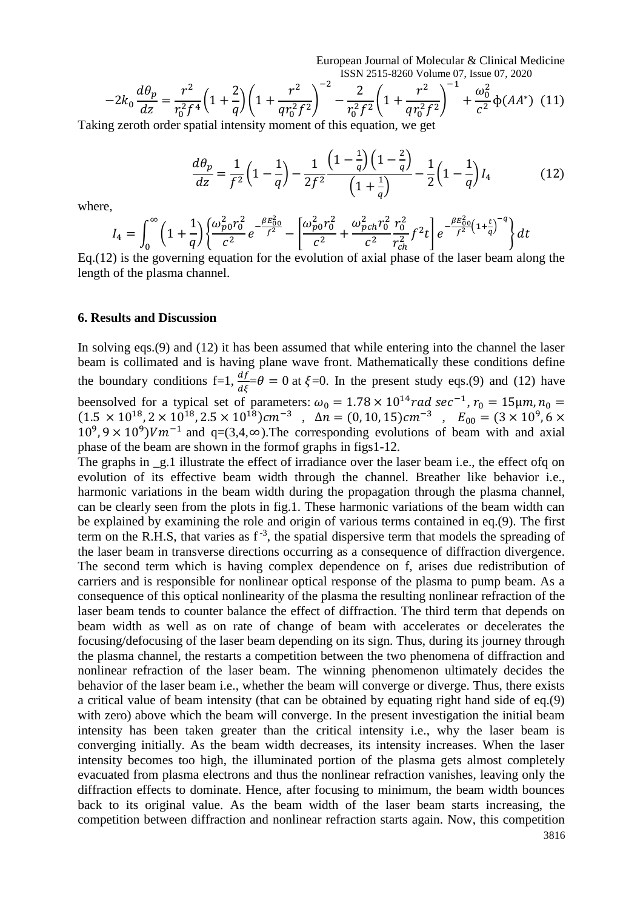European Journal of Molecular & Clinical Medicine ISSN 2515-8260 Volume 07, Issue 07, 2020

$$
-2k_0 \frac{d\theta_p}{dz} = \frac{r^2}{r_0^2 f^4} \left(1 + \frac{2}{q}\right) \left(1 + \frac{r^2}{qr_0^2 f^2}\right)^{-2} - \frac{2}{r_0^2 f^2} \left(1 + \frac{r^2}{qr_0^2 f^2}\right)^{-1} + \frac{\omega_0^2}{c^2} \Phi(AA^*)
$$
 (11)

Taking zeroth order spatial intensity moment of this equation, we get

$$
\frac{d\theta_p}{dz} = \frac{1}{f^2} \left( 1 - \frac{1}{q} \right) - \frac{1}{2f^2} \frac{\left( 1 - \frac{1}{q} \right) \left( 1 - \frac{2}{q} \right)}{\left( 1 + \frac{1}{q} \right)} - \frac{1}{2} \left( 1 - \frac{1}{q} \right) I_4 \tag{12}
$$

where,

$$
I_4 = \int_0^{\infty} \left(1 + \frac{1}{q}\right) \left\{\frac{\omega_{p0}^2 r_0^2}{c^2} e^{-\frac{\beta E_{00}^2}{f^2}} - \left[\frac{\omega_{p0}^2 r_0^2}{c^2} + \frac{\omega_{pch}^2 r_0^2}{c^2} \frac{r_0^2}{r_{ch}^2} f^2 t\right] e^{-\frac{\beta E_{00}^2}{f^2} \left(1 + \frac{t}{q}\right)^{-q}}\right\} dt
$$

Eq.(12) is the governing equation for the evolution of axial phase of the laser beam along the length of the plasma channel.

#### **6. Results and Discussion**

In solving eqs.(9) and (12) it has been assumed that while entering into the channel the laser beam is collimated and is having plane wave front. Mathematically these conditions define the boundary conditions  $f=1$ ,  $\frac{df}{d\xi} = \theta = 0$  at  $\xi = 0$ . In the present study eqs.(9) and (12) have beensolved for a typical set of parameters:  $\omega_0 = 1.78 \times 10^{14}$  rad sec<sup>-1</sup>,  $r_0 = 15 \mu m$ ,  $n_0 =$  $(1.5 \times 10^{18}, 2 \times 10^{18}, 2.5 \times 10^{18})$ cm<sup>-3</sup>,  $\Delta n = (0, 10, 15)$ cm<sup>-3</sup>,  $E_{00} = (3 \times 10^{9}, 6 \times 10^{18})$  $10^9$ ,  $9 \times 10^9$ ) $Vm^{-1}$  and  $q=(3,4,\infty)$ . The corresponding evolutions of beam with and axial phase of the beam are shown in the formof graphs in figs1-12.

The graphs in \_g.1 illustrate the effect of irradiance over the laser beam i.e., the effect ofq on evolution of its effective beam width through the channel. Breather like behavior i.e., harmonic variations in the beam width during the propagation through the plasma channel, can be clearly seen from the plots in fig.1. These harmonic variations of the beam width can be explained by examining the role and origin of various terms contained in eq.(9). The first term on the R.H.S, that varies as  $f^{-3}$ , the spatial dispersive term that models the spreading of the laser beam in transverse directions occurring as a consequence of diffraction divergence. The second term which is having complex dependence on f, arises due redistribution of carriers and is responsible for nonlinear optical response of the plasma to pump beam. As a consequence of this optical nonlinearity of the plasma the resulting nonlinear refraction of the laser beam tends to counter balance the effect of diffraction. The third term that depends on beam width as well as on rate of change of beam with accelerates or decelerates the focusing/defocusing of the laser beam depending on its sign. Thus, during its journey through the plasma channel, the restarts a competition between the two phenomena of diffraction and nonlinear refraction of the laser beam. The winning phenomenon ultimately decides the behavior of the laser beam i.e., whether the beam will converge or diverge. Thus, there exists a critical value of beam intensity (that can be obtained by equating right hand side of eq.(9) with zero) above which the beam will converge. In the present investigation the initial beam intensity has been taken greater than the critical intensity i.e., why the laser beam is converging initially. As the beam width decreases, its intensity increases. When the laser intensity becomes too high, the illuminated portion of the plasma gets almost completely evacuated from plasma electrons and thus the nonlinear refraction vanishes, leaving only the diffraction effects to dominate. Hence, after focusing to minimum, the beam width bounces back to its original value. As the beam width of the laser beam starts increasing, the competition between diffraction and nonlinear refraction starts again. Now, this competition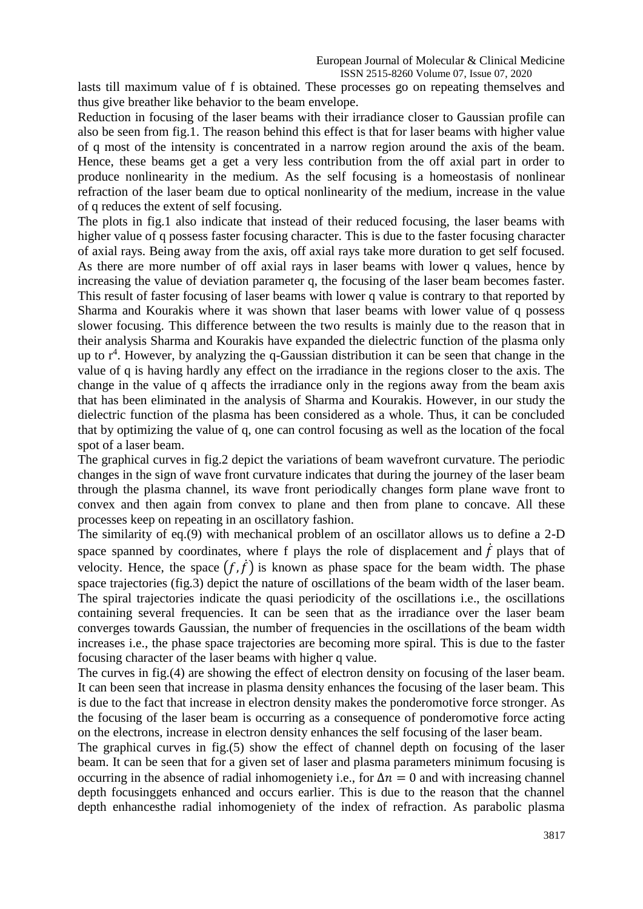lasts till maximum value of f is obtained. These processes go on repeating themselves and thus give breather like behavior to the beam envelope.

Reduction in focusing of the laser beams with their irradiance closer to Gaussian profile can also be seen from fig.1. The reason behind this effect is that for laser beams with higher value of q most of the intensity is concentrated in a narrow region around the axis of the beam. Hence, these beams get a get a very less contribution from the off axial part in order to produce nonlinearity in the medium. As the self focusing is a homeostasis of nonlinear refraction of the laser beam due to optical nonlinearity of the medium, increase in the value of q reduces the extent of self focusing.

The plots in fig.1 also indicate that instead of their reduced focusing, the laser beams with higher value of q possess faster focusing character. This is due to the faster focusing character of axial rays. Being away from the axis, off axial rays take more duration to get self focused. As there are more number of off axial rays in laser beams with lower q values, hence by increasing the value of deviation parameter q, the focusing of the laser beam becomes faster. This result of faster focusing of laser beams with lower q value is contrary to that reported by Sharma and Kourakis where it was shown that laser beams with lower value of q possess slower focusing. This difference between the two results is mainly due to the reason that in their analysis Sharma and Kourakis have expanded the dielectric function of the plasma only up to  $r<sup>4</sup>$ . However, by analyzing the q-Gaussian distribution it can be seen that change in the value of q is having hardly any effect on the irradiance in the regions closer to the axis. The change in the value of q affects the irradiance only in the regions away from the beam axis that has been eliminated in the analysis of Sharma and Kourakis. However, in our study the dielectric function of the plasma has been considered as a whole. Thus, it can be concluded that by optimizing the value of q, one can control focusing as well as the location of the focal spot of a laser beam.

The graphical curves in fig.2 depict the variations of beam wavefront curvature. The periodic changes in the sign of wave front curvature indicates that during the journey of the laser beam through the plasma channel, its wave front periodically changes form plane wave front to convex and then again from convex to plane and then from plane to concave. All these processes keep on repeating in an oscillatory fashion.

The similarity of eq.(9) with mechanical problem of an oscillator allows us to define a 2-D space spanned by coordinates, where f plays the role of displacement and  $\dot{f}$  plays that of velocity. Hence, the space  $(f, \dot{f})$  is known as phase space for the beam width. The phase space trajectories (fig.3) depict the nature of oscillations of the beam width of the laser beam. The spiral trajectories indicate the quasi periodicity of the oscillations i.e., the oscillations containing several frequencies. It can be seen that as the irradiance over the laser beam converges towards Gaussian, the number of frequencies in the oscillations of the beam width increases i.e., the phase space trajectories are becoming more spiral. This is due to the faster focusing character of the laser beams with higher q value.

The curves in fig.(4) are showing the effect of electron density on focusing of the laser beam. It can been seen that increase in plasma density enhances the focusing of the laser beam. This is due to the fact that increase in electron density makes the ponderomotive force stronger. As the focusing of the laser beam is occurring as a consequence of ponderomotive force acting on the electrons, increase in electron density enhances the self focusing of the laser beam.

The graphical curves in fig.(5) show the effect of channel depth on focusing of the laser beam. It can be seen that for a given set of laser and plasma parameters minimum focusing is occurring in the absence of radial inhomogeniety i.e., for  $\Delta n = 0$  and with increasing channel depth focusinggets enhanced and occurs earlier. This is due to the reason that the channel depth enhancesthe radial inhomogeniety of the index of refraction. As parabolic plasma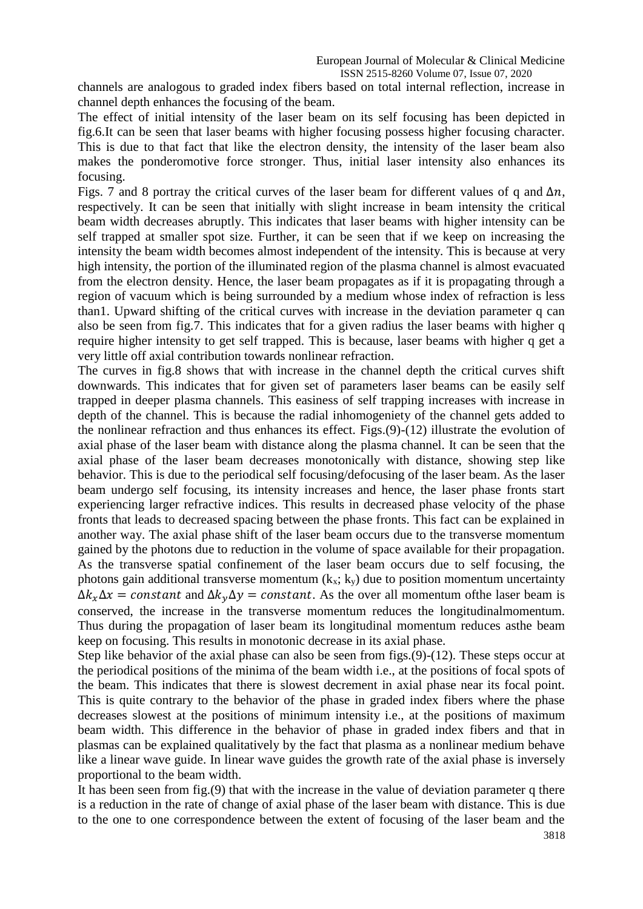channels are analogous to graded index fibers based on total internal reflection, increase in channel depth enhances the focusing of the beam.

The effect of initial intensity of the laser beam on its self focusing has been depicted in fig.6.It can be seen that laser beams with higher focusing possess higher focusing character. This is due to that fact that like the electron density, the intensity of the laser beam also makes the ponderomotive force stronger. Thus, initial laser intensity also enhances its focusing.

Figs. 7 and 8 portray the critical curves of the laser beam for different values of q and  $\Delta n$ , respectively. It can be seen that initially with slight increase in beam intensity the critical beam width decreases abruptly. This indicates that laser beams with higher intensity can be self trapped at smaller spot size. Further, it can be seen that if we keep on increasing the intensity the beam width becomes almost independent of the intensity. This is because at very high intensity, the portion of the illuminated region of the plasma channel is almost evacuated from the electron density. Hence, the laser beam propagates as if it is propagating through a region of vacuum which is being surrounded by a medium whose index of refraction is less than1. Upward shifting of the critical curves with increase in the deviation parameter q can also be seen from fig.7. This indicates that for a given radius the laser beams with higher q require higher intensity to get self trapped. This is because, laser beams with higher q get a very little off axial contribution towards nonlinear refraction.

The curves in fig.8 shows that with increase in the channel depth the critical curves shift downwards. This indicates that for given set of parameters laser beams can be easily self trapped in deeper plasma channels. This easiness of self trapping increases with increase in depth of the channel. This is because the radial inhomogeniety of the channel gets added to the nonlinear refraction and thus enhances its effect. Figs.(9)-(12) illustrate the evolution of axial phase of the laser beam with distance along the plasma channel. It can be seen that the axial phase of the laser beam decreases monotonically with distance, showing step like behavior. This is due to the periodical self focusing/defocusing of the laser beam. As the laser beam undergo self focusing, its intensity increases and hence, the laser phase fronts start experiencing larger refractive indices. This results in decreased phase velocity of the phase fronts that leads to decreased spacing between the phase fronts. This fact can be explained in another way. The axial phase shift of the laser beam occurs due to the transverse momentum gained by the photons due to reduction in the volume of space available for their propagation. As the transverse spatial confinement of the laser beam occurs due to self focusing, the photons gain additional transverse momentum  $(k_x; k_y)$  due to position momentum uncertainty  $\Delta k_x \Delta x = constant$  and  $\Delta k_y \Delta y = constant$ . As the over all momentum of the laser beam is conserved, the increase in the transverse momentum reduces the longitudinalmomentum. Thus during the propagation of laser beam its longitudinal momentum reduces asthe beam keep on focusing. This results in monotonic decrease in its axial phase.

Step like behavior of the axial phase can also be seen from figs.(9)-(12). These steps occur at the periodical positions of the minima of the beam width i.e., at the positions of focal spots of the beam. This indicates that there is slowest decrement in axial phase near its focal point. This is quite contrary to the behavior of the phase in graded index fibers where the phase decreases slowest at the positions of minimum intensity i.e., at the positions of maximum beam width. This difference in the behavior of phase in graded index fibers and that in plasmas can be explained qualitatively by the fact that plasma as a nonlinear medium behave like a linear wave guide. In linear wave guides the growth rate of the axial phase is inversely proportional to the beam width.

It has been seen from fig.(9) that with the increase in the value of deviation parameter q there is a reduction in the rate of change of axial phase of the laser beam with distance. This is due to the one to one correspondence between the extent of focusing of the laser beam and the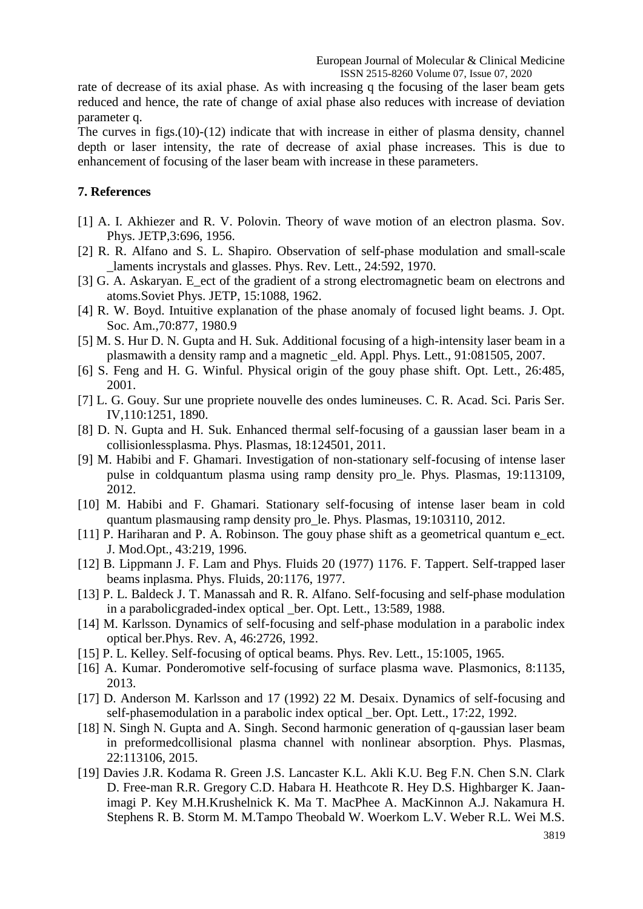rate of decrease of its axial phase. As with increasing q the focusing of the laser beam gets reduced and hence, the rate of change of axial phase also reduces with increase of deviation parameter q.

The curves in figs.(10)-(12) indicate that with increase in either of plasma density, channel depth or laser intensity, the rate of decrease of axial phase increases. This is due to enhancement of focusing of the laser beam with increase in these parameters.

### **7. References**

- [1] A. I. Akhiezer and R. V. Polovin. Theory of wave motion of an electron plasma. Sov. Phys. JETP,3:696, 1956.
- [2] R. R. Alfano and S. L. Shapiro. Observation of self-phase modulation and small-scale laments incrystals and glasses. Phys. Rev. Lett., 24:592, 1970.
- [3] G. A. Askaryan. E\_ect of the gradient of a strong electromagnetic beam on electrons and atoms.Soviet Phys. JETP, 15:1088, 1962.
- [4] R. W. Boyd. Intuitive explanation of the phase anomaly of focused light beams. J. Opt. Soc. Am.,70:877, 1980.9
- [5] M. S. Hur D. N. Gupta and H. Suk. Additional focusing of a high-intensity laser beam in a plasmawith a density ramp and a magnetic \_eld. Appl. Phys. Lett., 91:081505, 2007.
- [6] S. Feng and H. G. Winful. Physical origin of the gouy phase shift. Opt. Lett., 26:485, 2001.
- [7] L. G. Gouy. Sur une propriete nouvelle des ondes lumineuses. C. R. Acad. Sci. Paris Ser. IV,110:1251, 1890.
- [8] D. N. Gupta and H. Suk. Enhanced thermal self-focusing of a gaussian laser beam in a collisionlessplasma. Phys. Plasmas, 18:124501, 2011.
- [9] M. Habibi and F. Ghamari. Investigation of non-stationary self-focusing of intense laser pulse in coldquantum plasma using ramp density pro\_le. Phys. Plasmas, 19:113109, 2012.
- [10] M. Habibi and F. Ghamari. Stationary self-focusing of intense laser beam in cold quantum plasmausing ramp density pro\_le. Phys. Plasmas, 19:103110, 2012.
- [11] P. Hariharan and P. A. Robinson. The gouy phase shift as a geometrical quantum e\_ect. J. Mod.Opt., 43:219, 1996.
- [12] B. Lippmann J. F. Lam and Phys. Fluids 20 (1977) 1176. F. Tappert. Self-trapped laser beams inplasma. Phys. Fluids, 20:1176, 1977.
- [13] P. L. Baldeck J. T. Manassah and R. R. Alfano. Self-focusing and self-phase modulation in a parabolicgraded-index optical \_ber. Opt. Lett., 13:589, 1988.
- [14] M. Karlsson. Dynamics of self-focusing and self-phase modulation in a parabolic index optical ber.Phys. Rev. A, 46:2726, 1992.
- [15] P. L. Kelley. Self-focusing of optical beams. Phys. Rev. Lett., 15:1005, 1965.
- [16] A. Kumar. Ponderomotive self-focusing of surface plasma wave. Plasmonics, 8:1135, 2013.
- [17] D. Anderson M. Karlsson and 17 (1992) 22 M. Desaix. Dynamics of self-focusing and self-phasemodulation in a parabolic index optical \_ber. Opt. Lett., 17:22, 1992.
- [18] N. Singh N. Gupta and A. Singh. Second harmonic generation of q-gaussian laser beam in preformedcollisional plasma channel with nonlinear absorption. Phys. Plasmas, 22:113106, 2015.
- [19] Davies J.R. Kodama R. Green J.S. Lancaster K.L. Akli K.U. Beg F.N. Chen S.N. Clark D. Free-man R.R. Gregory C.D. Habara H. Heathcote R. Hey D.S. Highbarger K. Jaanimagi P. Key M.H.Krushelnick K. Ma T. MacPhee A. MacKinnon A.J. Nakamura H. Stephens R. B. Storm M. M.Tampo Theobald W. Woerkom L.V. Weber R.L. Wei M.S.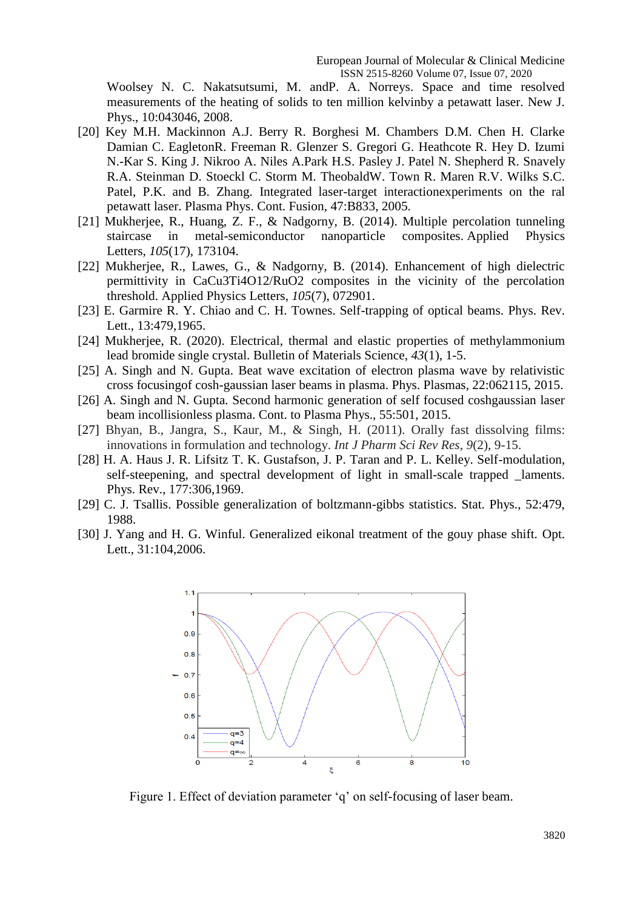Woolsey N. C. Nakatsutsumi, M. andP. A. Norreys. Space and time resolved measurements of the heating of solids to ten million kelvinby a petawatt laser. New J. Phys., 10:043046, 2008.

- [20] Key M.H. Mackinnon A.J. Berry R. Borghesi M. Chambers D.M. Chen H. Clarke Damian C. EagletonR. Freeman R. Glenzer S. Gregori G. Heathcote R. Hey D. Izumi N.-Kar S. King J. Nikroo A. Niles A.Park H.S. Pasley J. Patel N. Shepherd R. Snavely R.A. Steinman D. Stoeckl C. Storm M. TheobaldW. Town R. Maren R.V. Wilks S.C. Patel, P.K. and B. Zhang. Integrated laser-target interactionexperiments on the ral petawatt laser. Plasma Phys. Cont. Fusion, 47:B833, 2005.
- [21] Mukherjee, R., Huang, Z. F., & Nadgorny, B. (2014). Multiple percolation tunneling staircase in metal-semiconductor nanoparticle composites. Applied Physics Letters, *105*(17), 173104.
- [22] Mukherjee, R., Lawes, G., & Nadgorny, B. (2014). Enhancement of high dielectric permittivity in CaCu3Ti4O12/RuO2 composites in the vicinity of the percolation threshold. Applied Physics Letters, *105*(7), 072901.
- [23] E. Garmire R. Y. Chiao and C. H. Townes. Self-trapping of optical beams. Phys. Rev. Lett., 13:479,1965.
- [24] Mukherjee, R. (2020). Electrical, thermal and elastic properties of methylammonium lead bromide single crystal. Bulletin of Materials Science, *43*(1), 1-5.
- [25] A. Singh and N. Gupta. Beat wave excitation of electron plasma wave by relativistic cross focusingof cosh-gaussian laser beams in plasma. Phys. Plasmas, 22:062115, 2015.
- [26] A. Singh and N. Gupta. Second harmonic generation of self focused coshgaussian laser beam incollisionless plasma. Cont. to Plasma Phys., 55:501, 2015.
- [27] Bhyan, B., Jangra, S., Kaur, M., & Singh, H. (2011). Orally fast dissolving films: innovations in formulation and technology. *Int J Pharm Sci Rev Res*, *9*(2), 9-15.
- [28] H. A. Haus J. R. Lifsitz T. K. Gustafson, J. P. Taran and P. L. Kelley. Self-modulation, self-steepening, and spectral development of light in small-scale trapped \_laments. Phys. Rev., 177:306,1969.
- [29] C. J. Tsallis. Possible generalization of boltzmann-gibbs statistics. Stat. Phys., 52:479, 1988.
- [30] J. Yang and H. G. Winful. Generalized eikonal treatment of the gouy phase shift. Opt. Lett., 31:104,2006.



Figure 1. Effect of deviation parameter 'q' on self-focusing of laser beam.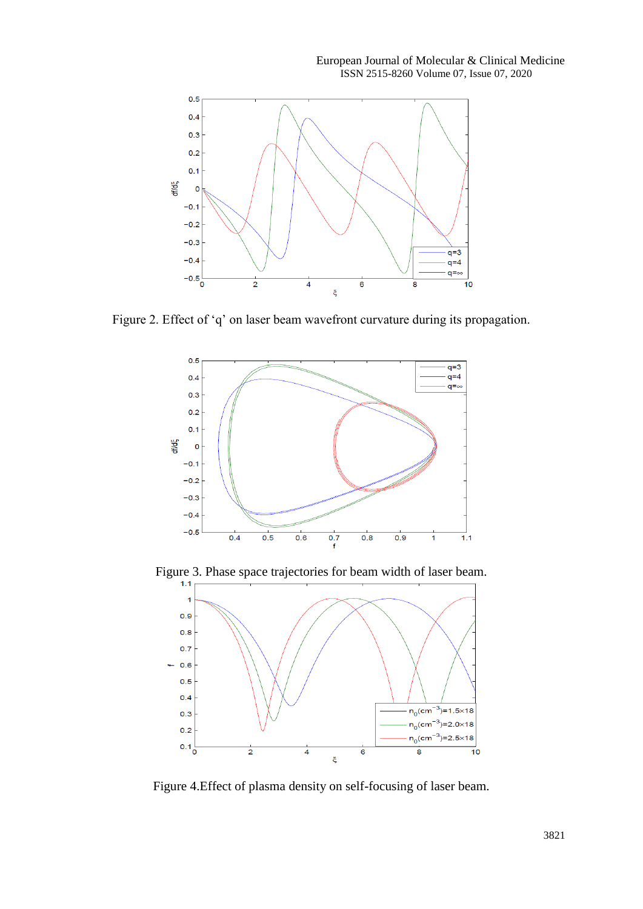European Journal of Molecular & Clinical Medicine ISSN 2515-8260 Volume 07, Issue 07, 2020



Figure 2. Effect of 'q' on laser beam wavefront curvature during its propagation.



Figure 3. Phase space trajectories for beam width of laser beam.



Figure 4.Effect of plasma density on self-focusing of laser beam.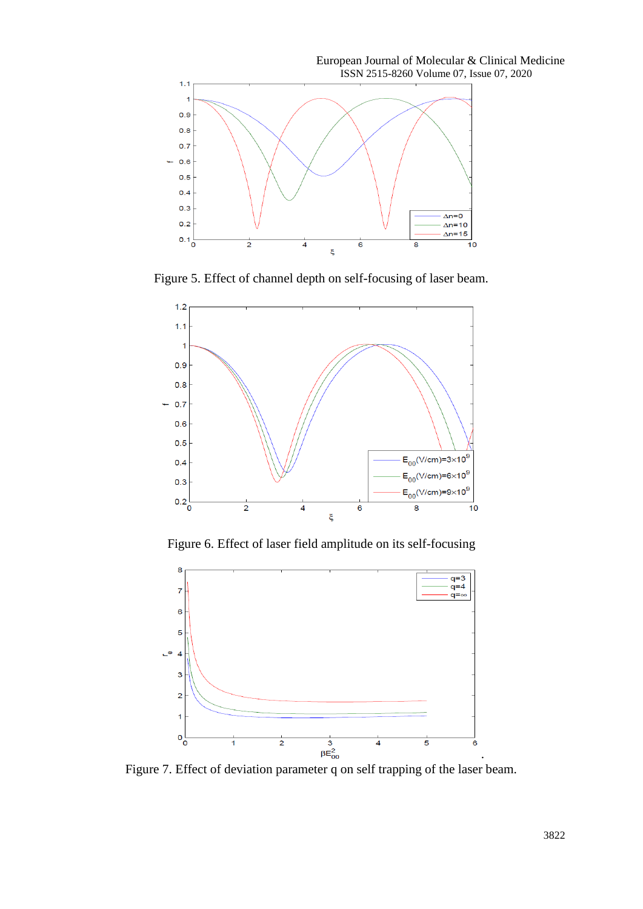European Journal of Molecular & Clinical Medicine ISSN 2515-8260 Volume 07, Issue 07, 2020  $1.1$  $\overline{1}$  $0.9$  $0.8$  $0.7$  $0.6$ ÷  $0.5$  $0.4$  $0.3$  $\Delta n = 0$  $0.2$  $\Delta$ n=10  $0.1\frac{1}{0}$  $\Delta$ n=15  $\overline{2}$  $\overline{4}$  $\overline{6}$  $\overline{\mathbf{8}}$  $\overline{10}$ ξ

Figure 5. Effect of channel depth on self-focusing of laser beam.



Figure 6. Effect of laser field amplitude on its self-focusing



Figure 7. Effect of deviation parameter q on self trapping of the laser beam.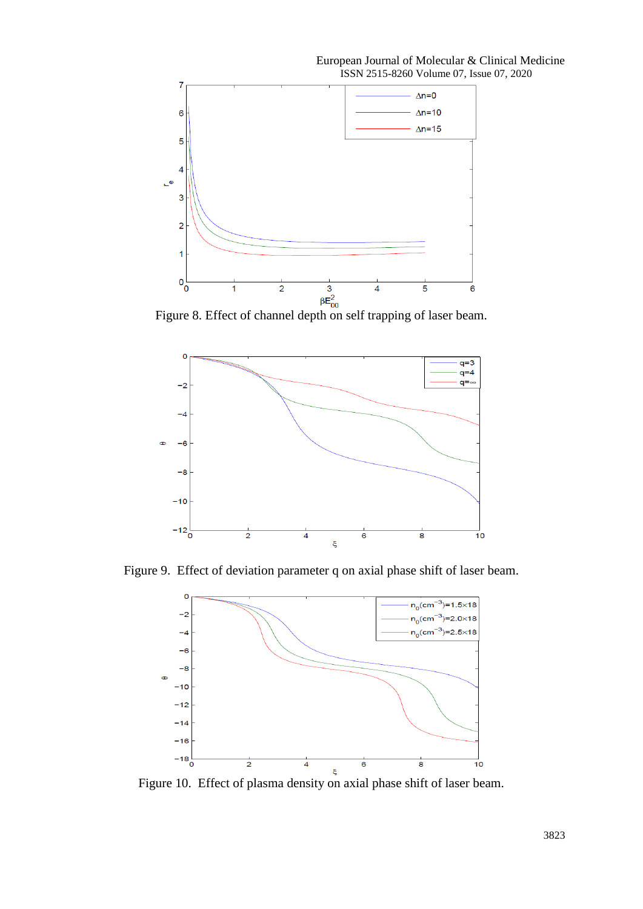



Figure 9. Effect of deviation parameter q on axial phase shift of laser beam.



Figure 10. Effect of plasma density on axial phase shift of laser beam.